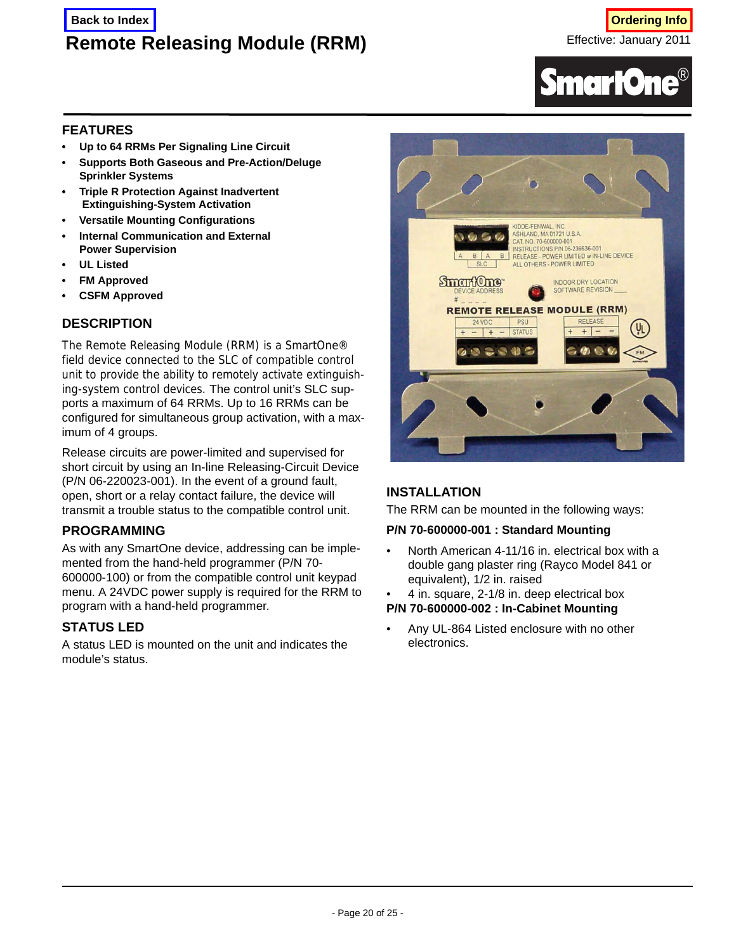# **Remote Releasing Module (RRM)**



# **FEATURES**

- **Up to 64 RRMs Per Signaling Line Circuit**
- **Supports Both Gaseous and Pre-Action/Deluge Sprinkler Systems**
- **Triple R Protection Against Inadvertent Extinguishing-System Activation**
- **Versatile Mounting Configurations**
- **Internal Communication and External Power Supervision**
- **UL Listed**
- **FM Approved**
- **CSFM Approved**

# **DESCRIPTION**

The Remote Releasing Module (RRM) is a SmartOne® field device connected to the SLC of compatible control unit to provide the ability to remotely activate extinguishing-system control devices. The control unit's SLC supports a maximum of 64 RRMs. Up to 16 RRMs can be configured for simultaneous group activation, with a maximum of 4 groups.

Release circuits are power-limited and supervised for short circuit by using an In-line Releasing-Circuit Device (P/N 06-220023-001). In the event of a ground fault, open, short or a relay contact failure, the device will transmit a trouble status to the compatible control unit.

# **PROGRAMMING**

As with any SmartOne device, addressing can be implemented from the hand-held programmer (P/N 70- 600000-100) or from the compatible control unit keypad menu. A 24VDC power supply is required for the RRM to program with a hand-held programmer.

# **STATUS LED**

A status LED is mounted on the unit and indicates the module's status.



# **INSTALLATION**

The RRM can be mounted in the following ways:

#### **P/N 70-600000-001 : Standard Mounting**

• North American 4-11/16 in. electrical box with a double gang plaster ring (Rayco Model 841 or equivalent), 1/2 in. raised

• 4 in. square, 2-1/8 in. deep electrical box

**P/N 70-600000-002 : In-Cabinet Mounting**

• Any UL-864 Listed enclosure with no other electronics.